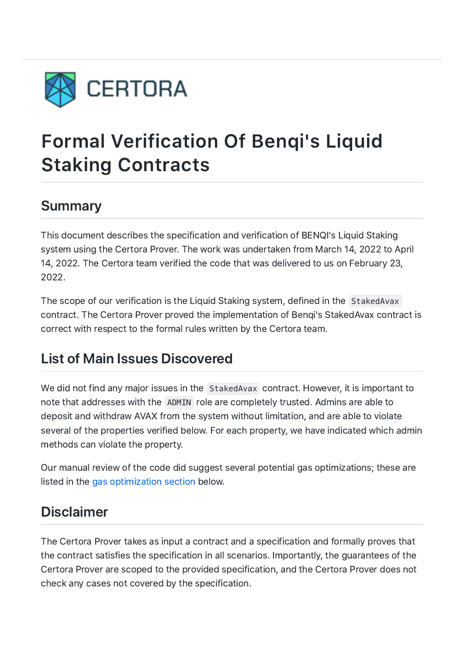

# Formal Verification Of Benqi's Liquid Staking Contracts

# Summary

This document describes the specification and verification of BENQI's Liquid Staking system using the Certora Prover. The work was undertaken from March 14, 2022 to April 14, 2022. The Certora team verified the code that was delivered to us on February 23, 2022.

The scope of our verification is the Liquid Staking system, defined in the StakedAvax contract. The Certora Prover proved the implementation of Benqi's StakedAvax contract is correct with respect to the formal rules written by the Certora team.

# List of Main Issues Discovered

We did not find any major issues in the StakedAvax contract. However, it is important to note that addresses with the ADMIN role are completely trusted. Admins are able to deposit and withdraw AVAX from the system without limitation, and are able to violate several of the properties verified below. For each property, we have indicated which admin methods can violate the property.

Our manual review of the code did suggest several potential gas optimizations; these are listed in the gas optimization section below.

# Disclaimer

The Certora Prover takes as input a contract and a specification and formally proves that the contract satisfies the specification in all scenarios. Importantly, the guarantees of the Certora Prover are scoped to the provided specification, and the Certora Prover does not check any cases not covered by the specification.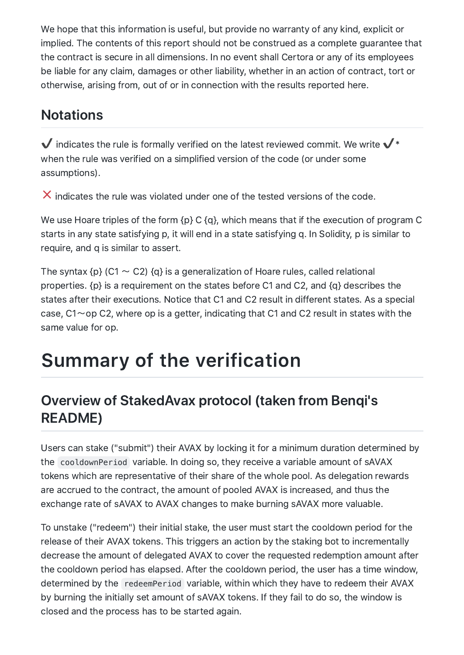We hope that this information is useful, but provide no warranty of any kind, explicit or implied. The contents of this report should not be construed as a complete guarantee that the contract is secure in all dimensions. In no event shall Certora or any of its employees be liable for any claim, damages or other liability, whether in an action of contract, tort or otherwise, arising from, out of or in connection with the results reported here.

# **Notations**

 $\checkmark$  indicates the rule is formally verified on the latest reviewed commit. We write  $\checkmark^*$ when the rule was verified on a simplified version of the code (or under some assumptions).

 $\boldsymbol{\times}$  indicates the rule was violated under one of the tested versions of the code.

We use Hoare triples of the form {p} C {q}, which means that if the execution of program C starts in any state satisfying p, it will end in a state satisfying q. In Solidity, p is similar to require, and q is similar to assert.

The syntax  $\{p\}$  (C1  $\sim$  C2)  $\{q\}$  is a generalization of Hoare rules, called relational properties. {p} is a requirement on the states before C1 and C2, and {q} describes the states after their executions. Notice that C1 and C2 result in different states. As a special case,  $C1 \sim$  op C2, where op is a getter, indicating that C1 and C2 result in states with the same value for op.

# Summary of the verification

# Overview of StakedAvax protocol (taken from Benqi's README)

Users can stake ("submit") their AVAX by locking it for a minimum duration determined by the cooldownPeriod variable. In doing so, they receive a variable amount of sAVAX tokens which are representative of their share of the whole pool. As delegation rewards are accrued to the contract, the amount of pooled AVAX is increased, and thus the exchange rate of sAVAX to AVAX changes to make burning sAVAX more valuable.

To unstake ("redeem") their initial stake, the user must start the cooldown period for the release of their AVAX tokens. This triggers an action by the staking bot to incrementally decrease the amount of delegated AVAX to cover the requested redemption amount after the cooldown period has elapsed. After the cooldown period, the user has a time window, determined by the redeemPeriod variable, within which they have to redeem their AVAX by burning the initially set amount of sAVAX tokens. If they fail to do so, the window is closed and the process has to be started again.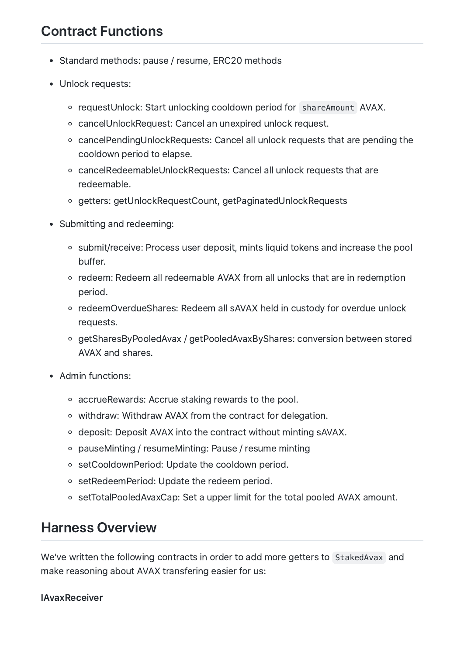# Contract Functions

- Standard methods: pause / resume, ERC20 methods
- Unlock requests:
	- o requestUnlock: Start unlocking cooldown period for shareAmount AVAX.
	- cancelUnlockRequest: Cancel an unexpired unlock request.
	- cancelPendingUnlockRequests: Cancel all unlock requests that are pending the cooldown period to elapse.
	- cancelRedeemableUnlockRequests: Cancel all unlock requests that are redeemable.
	- getters: getUnlockRequestCount, getPaginatedUnlockRequests
- Submitting and redeeming:
	- submit/receive: Process user deposit, mints liquid tokens and increase the pool buffer.
	- redeem: Redeem all redeemable AVAX from all unlocks that are in redemption period.
	- redeemOverdueShares: Redeem all sAVAX held in custody for overdue unlock requests.
	- getSharesByPooledAvax / getPooledAvaxByShares: conversion between stored AVAX and shares.
- Admin functions:
	- accrueRewards: Accrue staking rewards to the pool.
	- o withdraw: Withdraw AVAX from the contract for delegation.
	- o deposit: Deposit AVAX into the contract without minting sAVAX.
	- pauseMinting / resumeMinting: Pause / resume minting
	- o setCooldownPeriod: Update the cooldown period.
	- setRedeemPeriod: Update the redeem period.
	- setTotalPooledAvaxCap: Set a upper limit for the total pooled AVAX amount.

# Harness Overview

We've written the following contracts in order to add more getters to StakedAvax and make reasoning about AVAX transfering easier for us:

#### **IAvaxReceiver**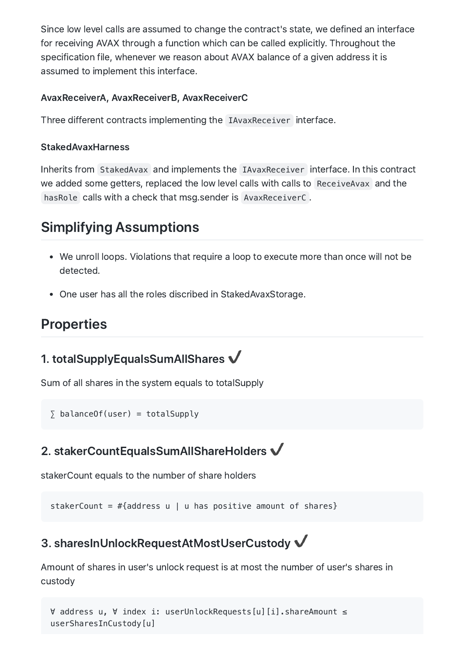Since low level calls are assumed to change the contract's state, we defined an interface for receiving AVAX through a function which can be called explicitly. Throughout the specification file, whenever we reason about AVAX balance of a given address it is assumed to implement this interface.

#### AvaxReceiverA, AvaxReceiverB, AvaxReceiverC

Three different contracts implementing the IAvaxReceiver interface.

#### StakedAvaxHarness

Inherits from StakedAvax and implements the IAvaxReceiver interface. In this contract we added some getters, replaced the low level calls with calls to ReceiveAvax and the hasRole calls with a check that msg.sender is AvaxReceiverC .

# Simplifying Assumptions

- We unroll loops. Violations that require a loop to execute more than once will not be detected.
- One user has all the roles discribed in StakedAvaxStorage.

# **Properties**

### 1. totalSupplyEqualsSumAllShares  $\checkmark$

Sum of all shares in the system equals to totalSupply

 $\sum$  balanceOf(user) = totalSupply

### 2. stakerCountEqualsSumAllShareHolders  $\checkmark$

stakerCount equals to the number of share holders

stakerCount =  $\#$ {address u | u has positive amount of shares}

# 3. sharesInUnlockRequestAtMostUserCustody ✔️

Amount of shares in user's unlock request is at most the number of user's shares in custody

```
∀ address u, ∀ index i: userUnlockRequests[u][i].shareAmount ≤
userSharesInCustody[u]
```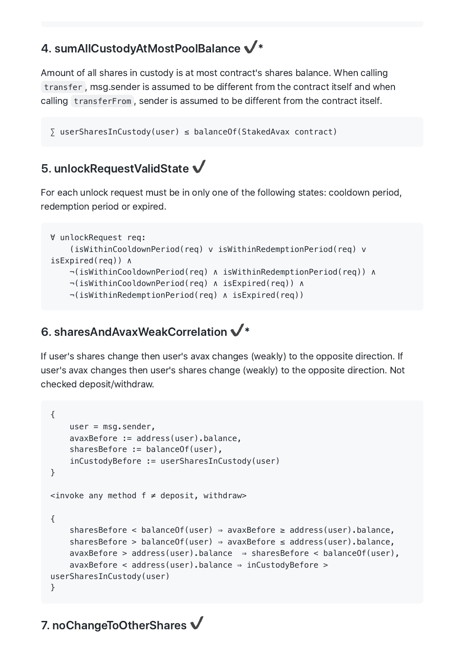# 4. sumAllCustodyAtMostPoolBalance ✔️\*

Amount of all shares in custody is at most contract's shares balance. When calling transfer , msg.sender is assumed to be different from the contract itself and when calling transferFrom , sender is assumed to be different from the contract itself.

```
∑ userSharesInCustody(user) ≤ balanceOf(StakedAvax contract)
```
### 5. unlockRequestValidState ✔️

For each unlock request must be in only one of the following states: cooldown period, redemption period or expired.

```
∀ unlockRequest req:
    (isWithinCooldownPeriod(req) v isWithinRedemptionPeriod(req) v
isExpired(req)) ∧
    ¬(isWithinCooldownPeriod(req) ∧ isWithinRedemptionPeriod(req)) ∧
    ¬(isWithinCooldownPeriod(req) ∧ isExpired(req)) ∧
    ¬(isWithinRedemptionPeriod(req) ∧ isExpired(req))
```
### 6. sharesAndAvaxWeakCorrelation ✔️\*

If user's shares change then user's avax changes (weakly) to the opposite direction. If user's avax changes then user's shares change (weakly) to the opposite direction. Not checked deposit/withdraw.

```
{
    user = msg.sender,
    avaxBefore := address(user).balance,
    sharesBefore := balanceOf(user),
    inCustodyBefore := userSharesInCustody(user)
}
\langle -invoke any method f \neq deposit, withdraw>
{
    sharesBefore < balanceOf(user) ⇒ avaxBefore ≥ address(user).balance,
    sharesBefore > balanceOf(user) ⇒ avaxBefore ≤ address(user).balance,
    a\text{vaxBefore} > \text{address(user)}.\text{balance} \Rightarrow \text{sharesBefore} < \text{balance(f(user)}).avaxBefore < address(user).balance ⇒ inCustodyBefore >
userSharesInCustody(user)
}
```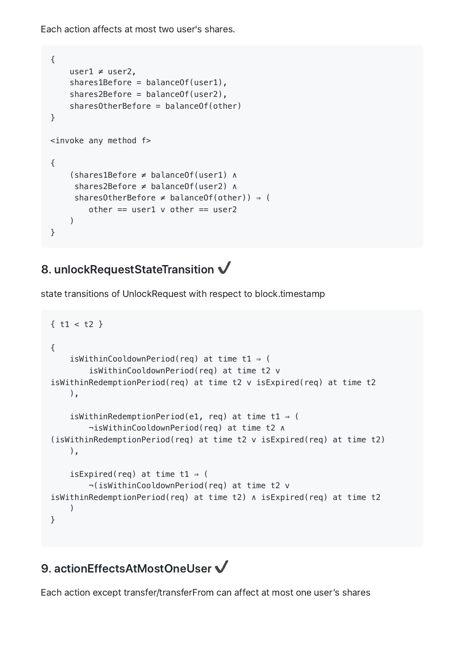Each action affects at most two user's shares.

```
{
    user1 \neq user2,
    shares1Before = balance0f(user1).
    shares2Before = balance0f(user2),
    sharesOtherBefore = balanceOf(other)
}
<invoke any method f>
{
    (shares1Before ≠ balanceOf(user1) ∧
     shares2Before ≠ balanceOf(user2) ∧
     sharesOtherBefore \neq balanceOf(other)) \Rightarrow (
        other == user1 v other == user2
    )}
```
# 8. unlockRequestStateTransition  $\checkmark$

state transitions of UnlockRequest with respect to block.timestamp

```
{ t1 < t2 }
{
    isWithinCooldownPeriod(req) at time t1 ⇒ (
        isWithinCooldownPeriod(req) at time t2 v
isWithinRedemptionPeriod(req) at time t2 v isExpired(req) at time t2
    ),
    isWithinRedemptionPeriod(e1, req) at time t1 ⇒ (
        ¬isWithinCooldownPeriod(req) at time t2 ∧
(isWithinRedemptionPeriod(req) at time t2 v isExpired(req) at time t2)
    ),
    isExpired(req) at time t1 \Rightarrow (
        ¬(isWithinCooldownPeriod(req) at time t2 v
isWithinRedemptionPeriod(req) at time t2) ∧ isExpired(req) at time t2
    \left( \right)}
```
### 9. actionEffectsAtMostOneUser ↓

Each action except transfer/transferFrom can affect at most one user's shares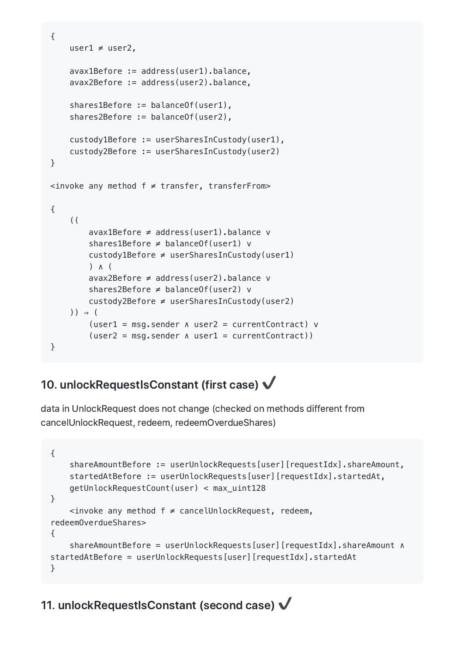```
{
    user1 ≠ user2,
    avax1Before := address(user1).balance,
    avax2Before := address(user2).balance,
    shares1Before := balanceOf(user1),
    shares2Before := balanceOf(user2),
    custody1Before := userSharesInCustody(user1),
    custody2Before := userSharesInCustody(user2)
}
<invoke any method f ≠ transfer, transferFrom>
{
    ((
        avax1Before ≠ address(user1).balance v
        shares1Before ≠ balanceOf(user1) v
        custody1Before ≠ userSharesInCustody(user1)
        ) ∧ (
        avax2Before ≠ address(user2).balance v
        shares2Before ≠ balanceOf(user2) v
        custody2Before ≠ userSharesInCustody(user2)
    )) ⇒ (
        (user1 = msg.sender ∧ user2 = currentContract) v
        (user2 = msg.sender ∧ user1 = currentContract))
}
```
# 10. unlockRequestIsConstant (first case) ↓

data in UnlockRequest does not change (checked on methods different from cancelUnlockRequest, redeem, redeemOverdueShares)

```
{
    shareAmountBefore := userUnlockRequests[user][requestIdx].shareAmount,
    startedAtBefore := userUnlockRequests[user][requestIdx].startedAt,
    getUnlockRequestCount(user) < max_uint128
}
    <invoke any method f ≠ cancelUnlockRequest, redeem,
redeemOverdueShares>
{
    shareAmountBefore = userUnlockRequests[user][requestIdx].shareAmount ∧
startedAtBefore = userUnlockRequests[user][requestIdx].startedAt
}
```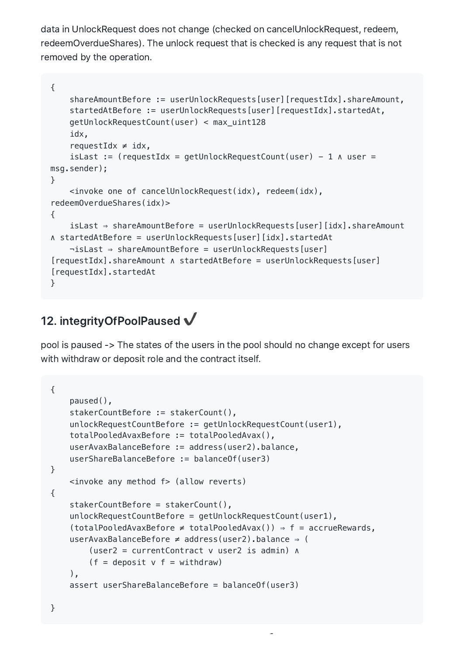data in UnlockRequest does not change (checked on cancelUnlockRequest, redeem, redeemOverdueShares). The unlock request that is checked is any request that is not removed by the operation.

```
{
    shareAmountBefore := userUnlockRequests[user][requestIdx].shareAmount,
    startedAtBefore := userUnlockRequests[user][requestIdx].startedAt,
    getUnlockRequestCount(user) < max_uint128
    idx,
    requestIdx \neq idx,
    isLast := (requestIdx = getUnlockRequestCount(user) - 1 \land user =msg.sender);
}
    <invoke one of cancelUnlockRequest(idx), redeem(idx),
redeemOverdueShares(idx)>
{
    isLast ⇒ shareAmountBefore = userUnlockRequests[user][idx].shareAmount
∧ startedAtBefore = userUnlockRequests[user][idx].startedAt
    ¬isLast ⇒ shareAmountBefore = userUnlockRequests[user]
[requestIdx].shareAmount ∧ startedAtBefore = userUnlockRequests[user]
[requestIdx].startedAt
}
```
### 12. integrityOfPoolPaused  $\checkmark$

pool is paused -> The states of the users in the pool should no change except for users with withdraw or deposit role and the contract itself.

```
{
    paused(),
    stakerCountBefore := stakerCount(),
    unlockRequestCountBefore := getUnlockRequestCount(user1),
    totalPooledAvaxBefore := totalPooledAvax(),
    userAvaxBalanceBefore := address(user2).balance,
    userShareBalanceBefore := balanceOf(user3)
}
    <invoke any method f> (allow reverts)
{
    stakerCountBefore = stakerCount(),
    unlockRequestCountBefore = getUnlockRequestCount(user1),
    (totalPooledAvaxBefore \neq totalPooledAvaX()) \Rightarrow f = accrueRewards,userAvaxBalanceBefore ≠ address(user2).balance ⇒ (
        (user2 = currentContract v user2 is admin) ∧
        (f = deposit v f = withdraw)),
    assert userShareBalanceBefore = balanceOf(user3)
```
✔️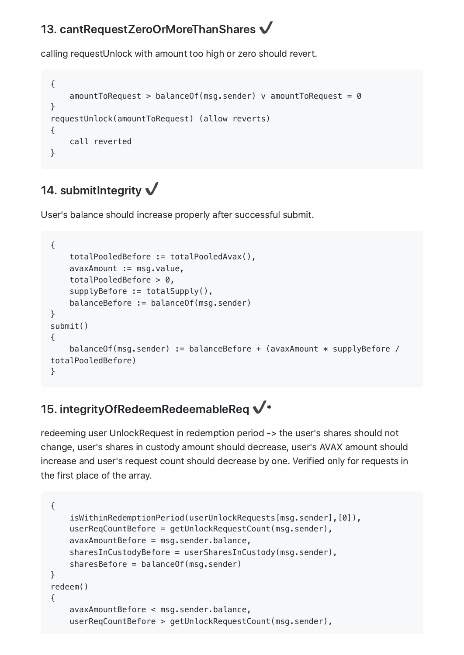### 13. cantRequestZeroOrMoreThanShares V

calling requestUnlock with amount too high or zero should revert.

```
{
    amountToRequest > balanceOf(msg.set) v amountToRequest = 0
}
requestUnlock(amountToRequest) (allow reverts)
{
    call reverted
}
```
# 14. submitIntegrity  $\checkmark$

User's balance should increase properly after successful submit.

```
{
    totalPooledBefore := totalPooledAvax(),
    avaxAmount := msg.value,
    totalPooledBefore > 0,
    supplyBefore := totalSupply(),
    balanceBefore := balanceOf(msg.sender)
}
submit()
{
    balanceOf(msg.sender) := balanceBefore + (avaxAmount * supplyBefore /
totalPooledBefore)
}
```
# 15. integrityOfRedeemRedeemableReq  $\checkmark^*$

redeeming user UnlockRequest in redemption period -> the user's shares should not change, user's shares in custody amount should decrease, user's AVAX amount should increase and user's request count should decrease by one. Verified only for requests in the first place of the array.

```
{
    isWithinRedemptionPeriod(userUnlockRequests[msg.sender],[0]),
    userReqCountBefore = getUnlockRequestCount(msg.sender),
    avaxAmountBefore = msg.sender.balance,
    sharesInCustodyBefore = userSharesInCustody(msg.sender),
    sharesBefore = balanceOf(msg.sender)
}
redeem()
{
    avaxAmountBefore < msg.sender.balance,
    userReqCountBefore > getUnlockRequestCount(msg.sender),
```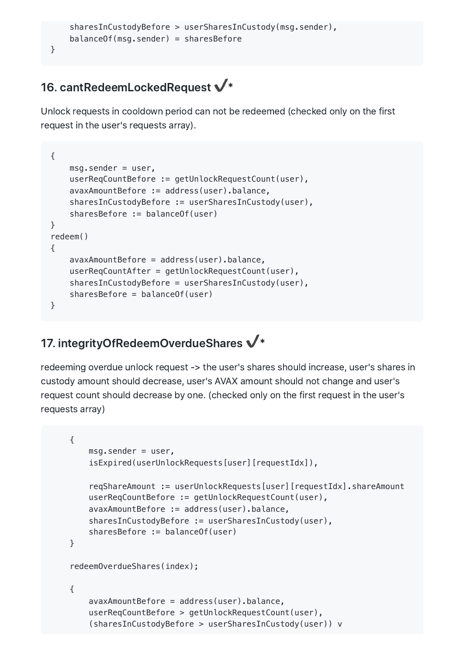```
sharesInCustodyBefore > userSharesInCustody(msg.sender),
balanceOf(msg.sender) = sharesBefore
```
# 16. cantRedeemLockedRequest  $\checkmark^*$

}

Unlock requests in cooldown period can not be redeemed (checked only on the first request in the user's requests array).

```
{
    msg.sender = user,userReqCountBefore := getUnlockRequestCount(user),
    avaxAmountBefore := address(user).balance,
    sharesInCustodyBefore := userSharesInCustody(user),
    sharesBefore := balanceOf(user)
}
redeem()
{
    avaxAmountBefore = address(user).balance,
    userReqCountAfter = getUnlockRequestCount(user),
    sharesInCustodyBefore = userSharesInCustody(user),
    sharesBefore = balanceOf(user)
}
```
# 17. integrityOfRedeemOverdueShares  $\checkmark^*$

redeeming overdue unlock request -> the user's shares should increase, user's shares in custody amount should decrease, user's AVAX amount should not change and user's request count should decrease by one. (checked only on the first request in the user's requests array)

```
{
    msg.sender = user,
    isExpired(userUnlockRequests[user][requestIdx]),
    reqShareAmount := userUnlockRequests[user][requestIdx].shareAmount
    userReqCountBefore := getUnlockRequestCount(user),
    avaxAmountBefore := address(user).balance,
    sharesInCustodyBefore := userSharesInCustody(user),
    sharesBefore := balanceOf(user)
}
redeemOverdueShares(index);
{
    avaxAmountBefore = address(user).balance,
    userReqCountBefore > getUnlockRequestCount(user),
    (sharesInCustodyBefore > userSharesInCustody(user)) v
```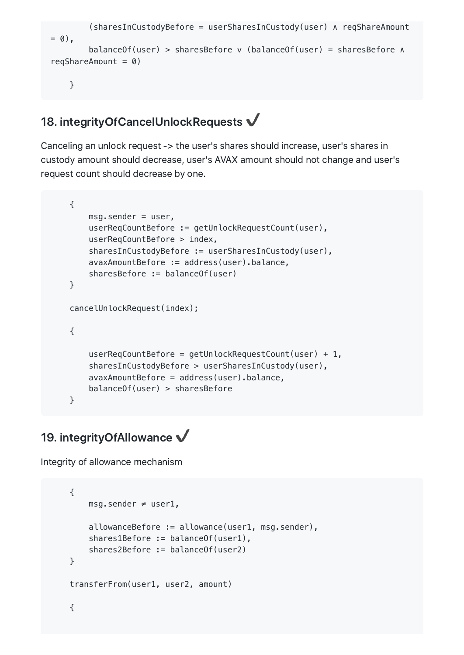```
(sharesInCustodyBefore = userSharesInCustody(user) ∧ reqShareAmount
= 0).
        balanceOf(user) > sharesBefore v (balanceOf(user) = sharesBefore ∧
reqShareAmount = 0)}
```
### 18. integrityOfCancelUnlockRequests  $\checkmark$

Canceling an unlock request -> the user's shares should increase, user's shares in custody amount should decrease, user's AVAX amount should not change and user's request count should decrease by one.

```
{
   msg.sender = user,userReqCountBefore := getUnlockRequestCount(user),
    userReqCountBefore > index,
    sharesInCustodyBefore := userSharesInCustody(user),
    avaxAmountBefore := address(user).balance,
    sharesBefore := balanceOf(user)
}
cancelUnlockRequest(index);
{
    userReqCountBefore = getUnlockRequestCount(user) + 1,
    sharesInCustodyBefore > userSharesInCustody(user),
    avaxAmountBefore = address(user).balance,
    balanceOf(user) > sharesBefore
}
```
### 19. integrityOfAllowance  $\checkmark$

Integrity of allowance mechanism

```
{
    msg.sender ≠ user1,
    allowanceBefore := allowance(user1, msg.sender),
    shares1Before := balanceOf(user1),
    shares2Before := balanceOf(user2)
}
transferFrom(user1, user2, amount)
{
```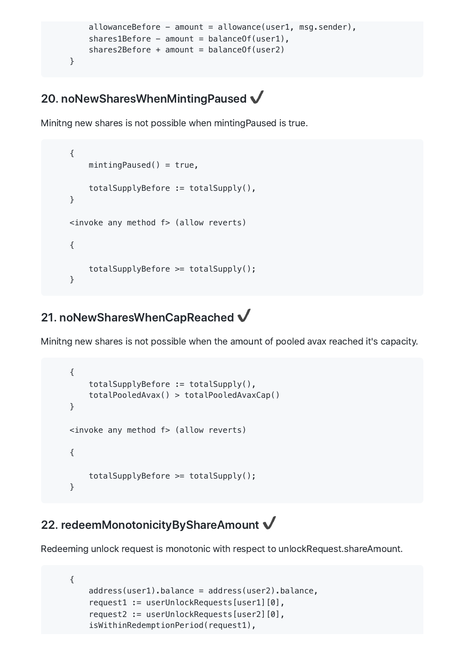```
allowanceBefore - amount = allowance(user1, msq.sender),
   share1Before - amount = balanceOf(user1),
   shares2Before + amount = balanceOf(user2)}
```
### 20. noNewSharesWhenMintingPaused ✔️

Minitng new shares is not possible when mintingPaused is true.

```
{
    mintingPaused() = true,totalSupplyBefore := totalSupply(),
}
<invoke any method f> (allow reverts)
{
   totalSupplyBefore >= totalSupply();
}
```
### 21. noNewSharesWhenCapReached  $\checkmark$

Minitng new shares is not possible when the amount of pooled avax reached it's capacity.

```
{
    totalSupplyBefore := totalSupply(),
    totalPooledAvax() > totalPooledAvaxCap()
}
<invoke any method f> (allow reverts)
{
    totalSupplyBefore >= totalSupply();
}
```
## 22. redeemMonotonicityByShareAmount  $\checkmark$

Redeeming unlock request is monotonic with respect to unlockRequest.shareAmount.

```
{
   address(user1).balance = address(user2).balance,
    request1 := userUnlockRequests[user1][0],
    request2 := userUnlockRequests[user2][0],
   isWithinRedemptionPeriod(request1),
```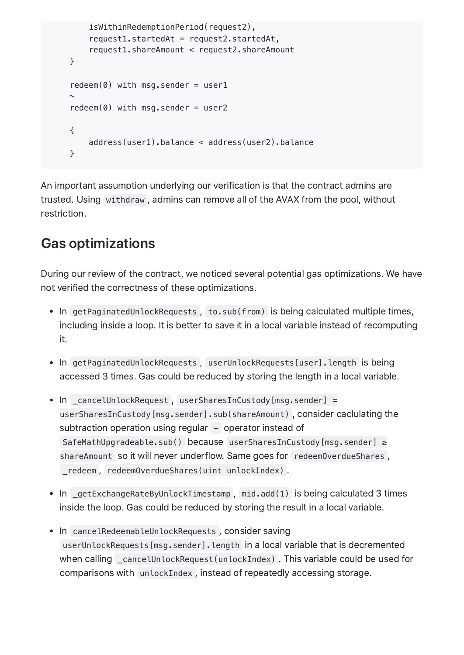```
isWithinRedemptionPeriod(request2),
    request1.startedAt = request2.startedAt,
    request1.shareAmount < request2.shareAmount
}
redeem(0) with msq.sender = user1
\simredeem(0) with msq.sender = user2
{
    address(user1).balance < address(user2).balance
}
```
An important assumption underlying our verification is that the contract admins are trusted. Using withdraw , admins can remove all of the AVAX from the pool, without restriction.

# Gas optimizations

During our review of the contract, we noticed several potential gas optimizations. We have not verified the correctness of these optimizations.

- In getPaginatedUnlockRequests, to.sub(from) is being calculated multiple times, including inside a loop. It is better to save it in a local variable instead of recomputing it.
- In getPaginatedUnlockRequests, userUnlockRequests[user].length is being accessed 3 times. Gas could be reduced by storing the length in a local variable.
- In \_cancelUnlockRequest, userSharesInCustody[msg.sender] = userSharesInCustody[msg.sender].sub(shareAmount) , consider caclulating the subtraction operation using regular – operator instead of SafeMathUpgradeable.sub() because userSharesInCustody[msg.sender] ≥ shareAmount so it will never underflow. Same goes for redeemOverdueShares, \_redeem , redeemOverdueShares(uint unlockIndex) .
- In \_getExchangeRateByUnlockTimestamp, mid.add(1) is being calculated 3 times inside the loop. Gas could be reduced by storing the result in a local variable.
- In cancelRedeemableUnlockRequests, consider saving userUnlockRequests[msg.sender].length in a local variable that is decremented when calling \_cancelUnlockRequest(unlockIndex) . This variable could be used for comparisons with unlockIndex , instead of repeatedly accessing storage.